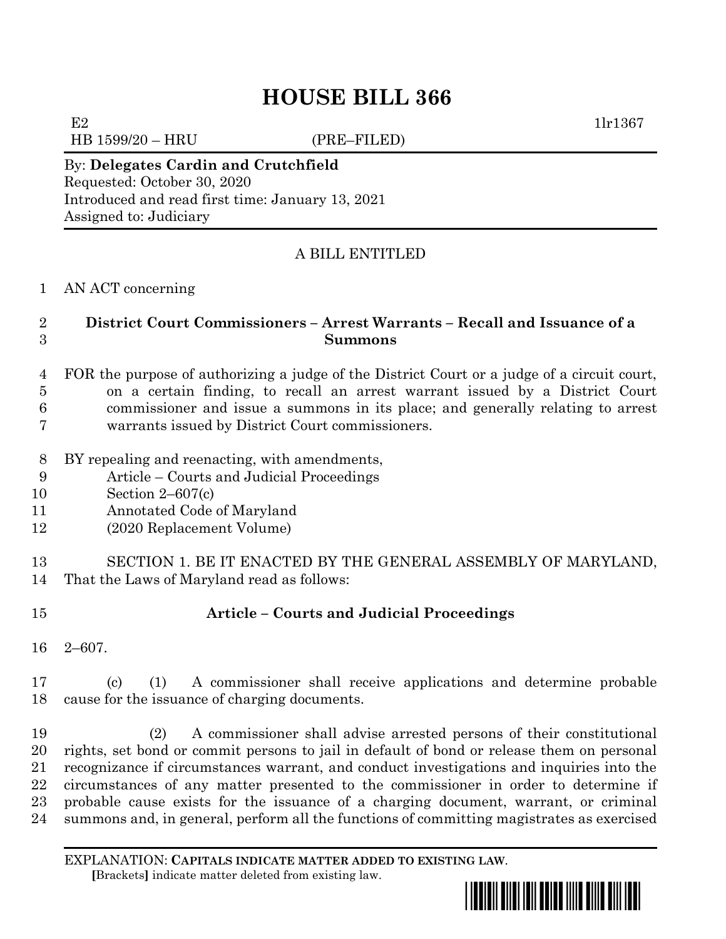# **HOUSE BILL 366**

HB 1599/20 – HRU (PRE–FILED)

E2  $1\text{lr}1367$ 

#### By: **Delegates Cardin and Crutchfield** Requested: October 30, 2020 Introduced and read first time: January 13, 2021 Assigned to: Judiciary

## A BILL ENTITLED

#### AN ACT concerning

### **District Court Commissioners – Arrest Warrants – Recall and Issuance of a Summons**

 FOR the purpose of authorizing a judge of the District Court or a judge of a circuit court, on a certain finding, to recall an arrest warrant issued by a District Court commissioner and issue a summons in its place; and generally relating to arrest warrants issued by District Court commissioners.

- BY repealing and reenacting, with amendments,
- Article Courts and Judicial Proceedings
- Section 2–607(c)
- Annotated Code of Maryland
- (2020 Replacement Volume)

 SECTION 1. BE IT ENACTED BY THE GENERAL ASSEMBLY OF MARYLAND, That the Laws of Maryland read as follows:

# **Article – Courts and Judicial Proceedings**

2–607.

 (c) (1) A commissioner shall receive applications and determine probable cause for the issuance of charging documents.

 (2) A commissioner shall advise arrested persons of their constitutional rights, set bond or commit persons to jail in default of bond or release them on personal recognizance if circumstances warrant, and conduct investigations and inquiries into the circumstances of any matter presented to the commissioner in order to determine if probable cause exists for the issuance of a charging document, warrant, or criminal summons and, in general, perform all the functions of committing magistrates as exercised

EXPLANATION: **CAPITALS INDICATE MATTER ADDED TO EXISTING LAW**.  **[**Brackets**]** indicate matter deleted from existing law.